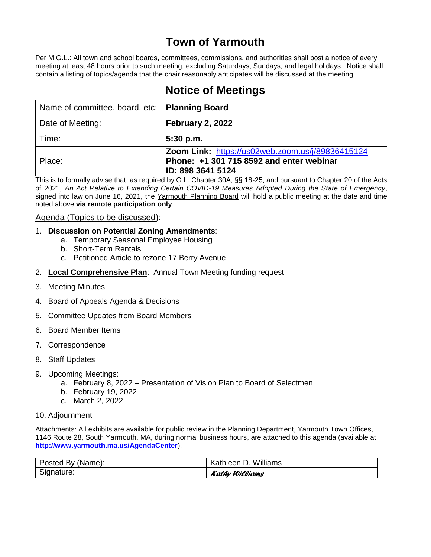# **Town of Yarmouth**

Per M.G.L.: All town and school boards, committees, commissions, and authorities shall post a notice of every meeting at least 48 hours prior to such meeting, excluding Saturdays, Sundays, and legal holidays. Notice shall contain a listing of topics/agenda that the chair reasonably anticipates will be discussed at the meeting.

# **Notice of Meetings**

| Name of committee, board, etc:   Planning Board |                                                                                                                   |
|-------------------------------------------------|-------------------------------------------------------------------------------------------------------------------|
| Date of Meeting:                                | February 2, 2022                                                                                                  |
| Time:                                           | $5:30$ p.m.                                                                                                       |
| Place:                                          | Zoom Link: https://us02web.zoom.us/j/89836415124<br>Phone: +1 301 715 8592 and enter webinar<br>ID: 898 3641 5124 |

This is to formally advise that, as required by G.L. Chapter 30A, §§ 18-25, and pursuant to Chapter 20 of the Acts of 2021, *An Act Relative to Extending Certain COVID-19 Measures Adopted During the State of Emergency*, signed into law on June 16, 2021, the Yarmouth Planning Board will hold a public meeting at the date and time noted above **via remote participation only**.

## Agenda (Topics to be discussed):

- 1. **Discussion on Potential Zoning Amendments**:
	- a. Temporary Seasonal Employee Housing
	- b. Short-Term Rentals
	- c. Petitioned Article to rezone 17 Berry Avenue
- 2. **Local Comprehensive Plan**: Annual Town Meeting funding request
- 3. Meeting Minutes
- 4. Board of Appeals Agenda & Decisions
- 5. Committee Updates from Board Members
- 6. Board Member Items
- 7. Correspondence
- 8. Staff Updates
- 9. Upcoming Meetings:
	- a. February 8, 2022 Presentation of Vision Plan to Board of Selectmen
	- b. February 19, 2022
	- c. March 2, 2022

#### 10. Adjournment

Attachments: All exhibits are available for public review in the Planning Department, Yarmouth Town Offices, 1146 Route 28, South Yarmouth, MA, during normal business hours, are attached to this agenda (available at **<http://www.yarmouth.ma.us/AgendaCenter>**).

| Posted By (Name): | Kathleen D. Williams |
|-------------------|----------------------|
| Signature:        | Kathy Williams       |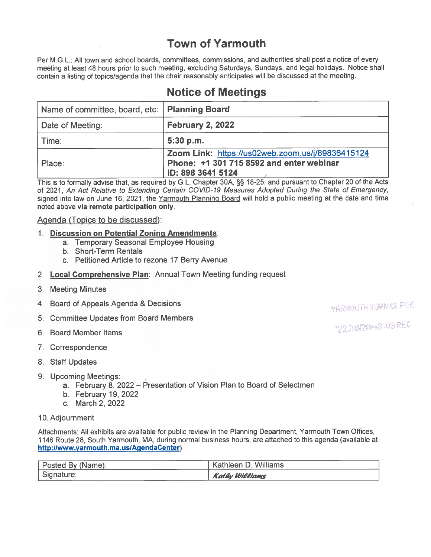# **Town of Yarmouth**

Per M.G.L.: All town and school boards, committees, commissions, and authorities shall post a notice of every meeting at least 48 hours prior to such meeting, excluding Saturdays, Sundays, and legal holidays. Notice shall contain a listing of topics/agenda that the chair reasonably anticipates will be discussed at the meeting.

## **Notice of Meetings**

| Name of committee, board, etc:   Planning Board |                                                                                                                   |
|-------------------------------------------------|-------------------------------------------------------------------------------------------------------------------|
| Date of Meeting:                                | <b>February 2, 2022</b>                                                                                           |
| l Time:                                         | $5:30$ p.m.                                                                                                       |
| Place:                                          | Zoom Link: https://us02web.zoom.us/j/89836415124<br>Phone: +1 301 715 8592 and enter webinar<br>ID: 898 3641 5124 |

This is to formally advise that, as required by G.L. Chapter 30A, §§ 18-25, and pursuant to Chapter 20 of the Acts of 2021, An Act Relative to Extending Certain COVID-19 Measures Adopted During the State of Emergency, signed into law on June 16, 2021, the Yarmouth Planning Board will hold a public meeting at the date and time noted above via remote participation only.

## Agenda (Topics to be discussed):

#### 1. Discussion on Potential Zoning Amendments:

- a. Temporary Seasonal Employee Housing
- b. Short-Term Rentals
- c. Petitioned Article to rezone 17 Berry Avenue
- 2. Local Comprehensive Plan: Annual Town Meeting funding request
- 3. Meeting Minutes
- 4. Board of Appeals Agenda & Decisions
- 5. Committee Updates from Board Members
- 6. Board Member Items
- 7. Correspondence
- 8. Staff Updates
- 9. Upcoming Meetings:
	- a. February 8, 2022 Presentation of Vision Plan to Board of Selectmen
	- b. February 19, 2022
	- c. March 2, 2022
- 10. Adjournment

Attachments: All exhibits are available for public review in the Planning Department, Yarmouth Town Offices, 1146 Route 28, South Yarmouth, MA, during normal business hours, are attached to this agenda (available at http://www.yarmouth.ma.us/AgendaCenter).

| _______<br>Posted By (Name):<br>----- | Kathleen D. Williams  |
|---------------------------------------|-----------------------|
| Signature:                            | <b>Kathy Williams</b> |

**VARNOUTH TOWN CLERK** 

\*22JAN2GPH3103 REG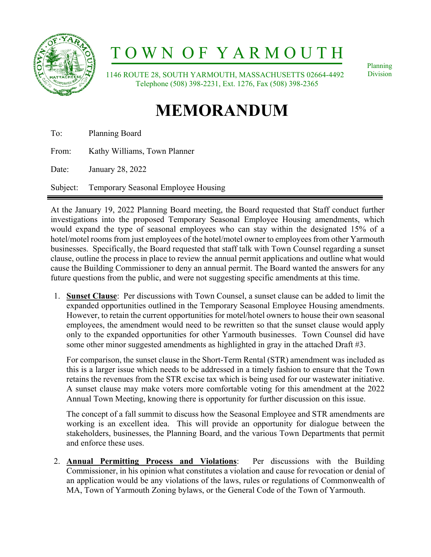

# T O W N O F Y A R M O U T H

 1146 ROUTE 28, SOUTH YARMOUTH, MASSACHUSETTS 02664-4492 Telephone (508) 398-2231, Ext. 1276, Fax (508) 398-2365

Planning Division

# **MEMORANDUM**

To: Planning Board

From: Kathy Williams, Town Planner

Date: January 28, 2022

Subject: Temporary Seasonal Employee Housing

At the January 19, 2022 Planning Board meeting, the Board requested that Staff conduct further investigations into the proposed Temporary Seasonal Employee Housing amendments, which would expand the type of seasonal employees who can stay within the designated 15% of a hotel/motel rooms from just employees of the hotel/motel owner to employees from other Yarmouth businesses. Specifically, the Board requested that staff talk with Town Counsel regarding a sunset clause, outline the process in place to review the annual permit applications and outline what would cause the Building Commissioner to deny an annual permit. The Board wanted the answers for any future questions from the public, and were not suggesting specific amendments at this time.

1. **Sunset Clause**: Per discussions with Town Counsel, a sunset clause can be added to limit the expanded opportunities outlined in the Temporary Seasonal Employee Housing amendments. However, to retain the current opportunities for motel/hotel owners to house their own seasonal employees, the amendment would need to be rewritten so that the sunset clause would apply only to the expanded opportunities for other Yarmouth businesses. Town Counsel did have some other minor suggested amendments as highlighted in gray in the attached Draft #3.

For comparison, the sunset clause in the Short-Term Rental (STR) amendment was included as this is a larger issue which needs to be addressed in a timely fashion to ensure that the Town retains the revenues from the STR excise tax which is being used for our wastewater initiative. A sunset clause may make voters more comfortable voting for this amendment at the 2022 Annual Town Meeting, knowing there is opportunity for further discussion on this issue.

The concept of a fall summit to discuss how the Seasonal Employee and STR amendments are working is an excellent idea. This will provide an opportunity for dialogue between the stakeholders, businesses, the Planning Board, and the various Town Departments that permit and enforce these uses.

2. **Annual Permitting Process and Violations**: Per discussions with the Building Commissioner, in his opinion what constitutes a violation and cause for revocation or denial of an application would be any violations of the laws, rules or regulations of Commonwealth of MA, Town of Yarmouth Zoning bylaws, or the General Code of the Town of Yarmouth.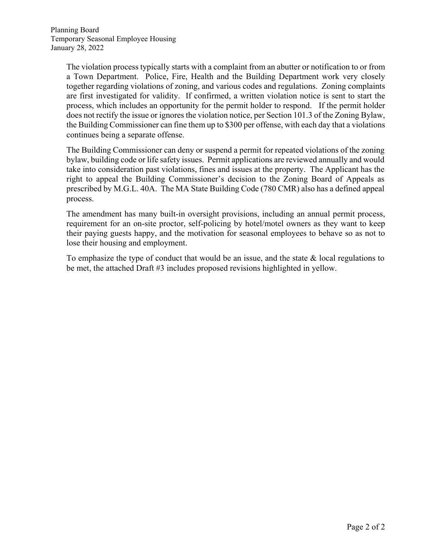The violation process typically starts with a complaint from an abutter or notification to or from a Town Department. Police, Fire, Health and the Building Department work very closely together regarding violations of zoning, and various codes and regulations. Zoning complaints are first investigated for validity. If confirmed, a written violation notice is sent to start the process, which includes an opportunity for the permit holder to respond. If the permit holder does not rectify the issue or ignores the violation notice, per Section 101.3 of the Zoning Bylaw, the Building Commissioner can fine them up to \$300 per offense, with each day that a violations continues being a separate offense.

The Building Commissioner can deny or suspend a permit for repeated violations of the zoning bylaw, building code or life safety issues. Permit applications are reviewed annually and would take into consideration past violations, fines and issues at the property. The Applicant has the right to appeal the Building Commissioner's decision to the Zoning Board of Appeals as prescribed by M.G.L. 40A. The MA State Building Code (780 CMR) also has a defined appeal process.

The amendment has many built-in oversight provisions, including an annual permit process, requirement for an on-site proctor, self-policing by hotel/motel owners as they want to keep their paying guests happy, and the motivation for seasonal employees to behave so as not to lose their housing and employment.

To emphasize the type of conduct that would be an issue, and the state & local regulations to be met, the attached Draft #3 includes proposed revisions highlighted in yellow.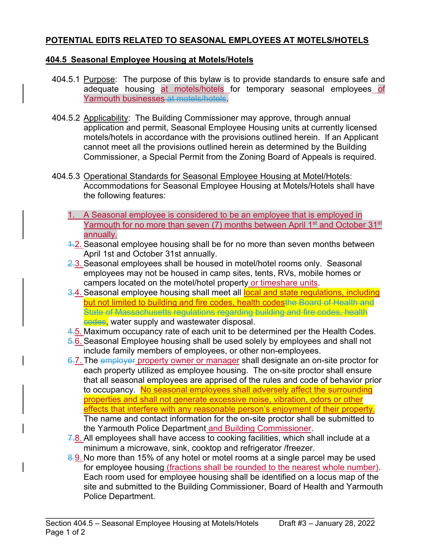## **POTENTIAL EDITS RELATED TO SEASONAL EMPLOYEES AT MOTELS/HOTELS**

## **404.5 Seasonal Employee Housing at Motels/Hotels**

- 404.5.1 Purpose: The purpose of this bylaw is to provide standards to ensure safe and adequate housing at motels/hotels for temporary seasonal employees of Yarmouth businesses at motels/hotels.
- 404.5.2 Applicability: The Building Commissioner may approve, through annual application and permit, Seasonal Employee Housing units at currently licensed motels/hotels in accordance with the provisions outlined herein. If an Applicant cannot meet all the provisions outlined herein as determined by the Building Commissioner, a Special Permit from the Zoning Board of Appeals is required.
- 404.5.3 Operational Standards for Seasonal Employee Housing at Motel/Hotels: Accommodations for Seasonal Employee Housing at Motels/Hotels shall have the following features:
	- 1. A Seasonal employee is considered to be an employee that is employed in Yarmouth for no more than seven (7) months between April 1<sup>st</sup> and October 31<sup>st</sup> annually.
	- 4.2. Seasonal employee housing shall be for no more than seven months between April 1st and October 31st annually.
	- 2.3. Seasonal employees shall be housed in motel/hotel rooms only. Seasonal employees may not be housed in camp sites, tents, RVs, mobile homes or campers located on the motel/hotel property or timeshare units.
	- 3.4. Seasonal employee housing shall meet all local and state regulations, including but not limited to building and fire codes, health codesthe Board of Health and State of Massachusetts regulations regarding building and fire codes, health codes, water supply and wastewater disposal.
	- 4.5. Maximum occupancy rate of each unit to be determined per the Health Codes.
	- 5.6. Seasonal Employee housing shall be used solely by employees and shall not include family members of employees, or other non-employees.
	- 6.7. The employer property owner or manager shall designate an on-site proctor for each property utilized as employee housing. The on-site proctor shall ensure that all seasonal employees are apprised of the rules and code of behavior prior to occupancy. No seasonal employees shall adversely affect the surrounding properties and shall not generate excessive noise, vibration, odors or other effects that interfere with any reasonable person's enjoyment of their property. The name and contact information for the on-site proctor shall be submitted to the Yarmouth Police Department and Building Commissioner.
	- 7.8. All employees shall have access to cooking facilities, which shall include at a minimum a microwave, sink, cooktop and refrigerator /freezer.
	- 8.9. No more than 15% of any hotel or motel rooms at a single parcel may be used for employee housing (fractions shall be rounded to the nearest whole number). Each room used for employee housing shall be identified on a locus map of the site and submitted to the Building Commissioner, Board of Health and Yarmouth Police Department.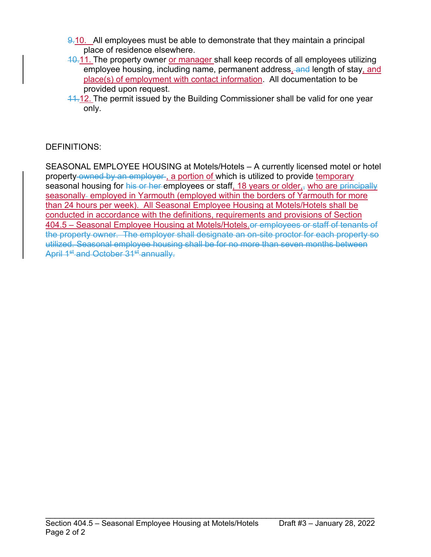- $9.10.$  All employees must be able to demonstrate that they maintain a principal place of residence elsewhere.
- $10.11$ . The property owner or manager shall keep records of all employees utilizing employee housing, including name, permanent address, and length of stay, and place(s) of employment with contact information. All documentation to be provided upon request.
- 11.12. The permit issued by the Building Commissioner shall be valid for one year only.

## DEFINITIONS:

SEASONAL EMPLOYEE HOUSING at Motels/Hotels – A currently licensed motel or hotel property-owned by an employer, a portion of which is utilized to provide temporary seasonal housing for his or her employees or staff, 18 years or older, who are principally seasonally- employed in Yarmouth (employed within the borders of Yarmouth for more than 24 hours per week). All Seasonal Employee Housing at Motels/Hotels shall be conducted in accordance with the definitions, requirements and provisions of Section 404.5 – Seasonal Employee Housing at Motels/Hotels.or employees or staff of tenants of the property owner. The employer shall designate an on-site proctor for each property so utilized. Seasonal employee housing shall be for no more than seven months between April 1<sup>st</sup> and October 31<sup>st</sup> annually.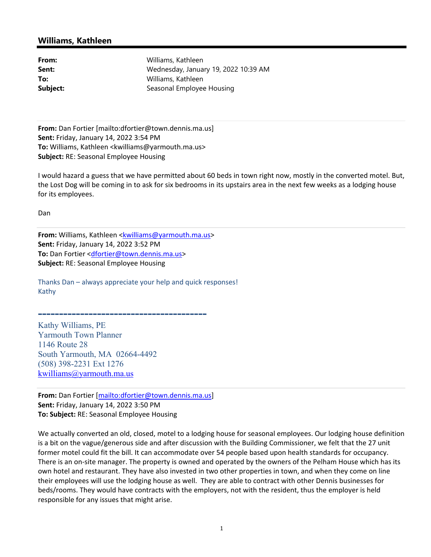## **Williams, Kathleen**

| From:                     | Williams, Kathleen                   |  |  |  |  |
|---------------------------|--------------------------------------|--|--|--|--|
| Sent:                     | Wednesday, January 19, 2022 10:39 AM |  |  |  |  |
| Williams, Kathleen<br>To: |                                      |  |  |  |  |
| Subject:                  | Seasonal Employee Housing            |  |  |  |  |

**From:** Dan Fortier [mailto:dfortier@town.dennis.ma.us] **Sent:** Friday, January 14, 2022 3:54 PM **To:** Williams, Kathleen <kwilliams@yarmouth.ma.us> **Subject:** RE: Seasonal Employee Housing

I would hazard a guess that we have permitted about 60 beds in town right now, mostly in the converted motel. But, the Lost Dog will be coming in to ask for six bedrooms in its upstairs area in the next few weeks as a lodging house for its employees.

Dan

**From:** Williams, Kathleen <kwilliams@yarmouth.ma.us> **Sent:** Friday, January 14, 2022 3:52 PM **To:** Dan Fortier <dfortier@town.dennis.ma.us> **Subject:** RE: Seasonal Employee Housing

Thanks Dan – always appreciate your help and quick responses! Kathy

**----------------------------------------** Kathy Williams, PE Yarmouth Town Planner 1146 Route 28 South Yarmouth, MA 02664-4492 (508) 398-2231 Ext 1276 kwilliams@yarmouth.ma.us

**From:** Dan Fortier [mailto:dfortier@town.dennis.ma.us] **Sent:** Friday, January 14, 2022 3:50 PM **To: Subject:** RE: Seasonal Employee Housing

We actually converted an old, closed, motel to a lodging house for seasonal employees. Our lodging house definition is a bit on the vague/generous side and after discussion with the Building Commissioner, we felt that the 27 unit former motel could fit the bill. It can accommodate over 54 people based upon health standards for occupancy. There is an on‐site manager. The property is owned and operated by the owners of the Pelham House which has its own hotel and restaurant. They have also invested in two other properties in town, and when they come on line their employees will use the lodging house as well. They are able to contract with other Dennis businesses for beds/rooms. They would have contracts with the employers, not with the resident, thus the employer is held responsible for any issues that might arise.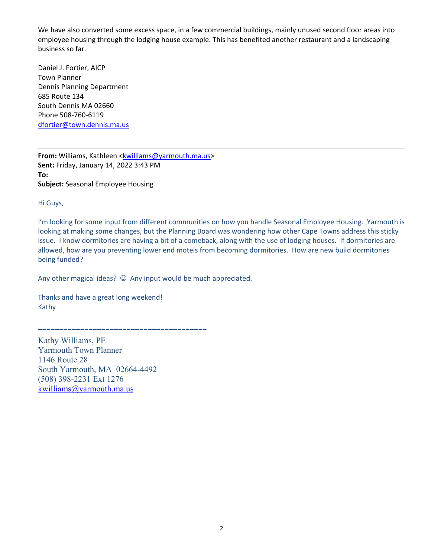We have also converted some excess space, in a few commercial buildings, mainly unused second floor areas into employee housing through the lodging house example. This has benefited another restaurant and a landscaping business so far.

Daniel J. Fortier, AICP Town Planner Dennis Planning Department 685 Route 134 South Dennis MA 02660 Phone 508‐760‐6119 dfortier@town.dennis.ma.us

**From:** Williams, Kathleen <kwilliams@yarmouth.ma.us> **Sent:** Friday, January 14, 2022 3:43 PM **To: Subject:** Seasonal Employee Housing

Hi Guys,

I'm looking for some input from different communities on how you handle Seasonal Employee Housing. Yarmouth is looking at making some changes, but the Planning Board was wondering how other Cape Towns address this sticky issue. I know dormitories are having a bit of a comeback, along with the use of lodging houses. If dormitories are allowed, how are you preventing lower end motels from becoming dormitories. How are new build dormitories being funded?

Any other magical ideas?  $\odot$  Any input would be much appreciated.

Thanks and have a great long weekend! Kathy

**----------------------------------------**

Kathy Williams, PE Yarmouth Town Planner 1146 Route 28 South Yarmouth, MA 02664-4492 (508) 398-2231 Ext 1276 kwilliams@yarmouth.ma.us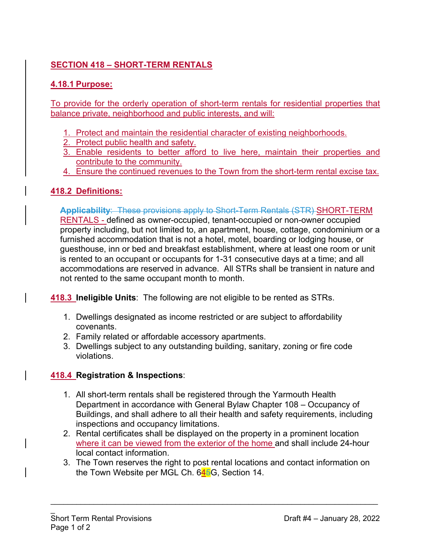## **SECTION 418 – SHORT-TERM RENTALS**

## **4.18.1 Purpose:**

To provide for the orderly operation of short-term rentals for residential properties that balance private, neighborhood and public interests, and will:

- 1. Protect and maintain the residential character of existing neighborhoods.
- 2. Protect public health and safety.
- 3. Enable residents to better afford to live here, maintain their properties and contribute to the community.
- 4. Ensure the continued revenues to the Town from the short-term rental excise tax.

## **418.2 Definitions:**

**Applicability**: These provisions apply to Short-Term Rentals (STR) SHORT-TERM RENTALS - defined as owner-occupied, tenant-occupied or non-owner occupied property including, but not limited to, an apartment, house, cottage, condominium or a furnished accommodation that is not a hotel, motel, boarding or lodging house, or guesthouse, inn or bed and breakfast establishment, where at least one room or unit is rented to an occupant or occupants for 1-31 consecutive days at a time; and all accommodations are reserved in advance. All STRs shall be transient in nature and not rented to the same occupant month to month.

**418.3 Ineligible Units**: The following are not eligible to be rented as STRs.

- 1. Dwellings designated as income restricted or are subject to affordability covenants.
- 2. Family related or affordable accessory apartments.
- 3. Dwellings subject to any outstanding building, sanitary, zoning or fire code violations.

## **418.4 Registration & Inspections**:

- 1. All short-term rentals shall be registered through the Yarmouth Health Department in accordance with General Bylaw Chapter 108 – Occupancy of Buildings, and shall adhere to all their health and safety requirements, including inspections and occupancy limitations.
- 2. Rental certificates shall be displayed on the property in a prominent location where it can be viewed from the exterior of the home and shall include 24-hour local contact information.
- 3. The Town reserves the right to post rental locations and contact information on the Town Website per MGL Ch. 645G, Section 14.

 $\mathcal{L}_\text{max}$  and  $\mathcal{L}_\text{max}$  and  $\mathcal{L}_\text{max}$  and  $\mathcal{L}_\text{max}$  and  $\mathcal{L}_\text{max}$  and  $\mathcal{L}_\text{max}$ 

 $\overline{a}$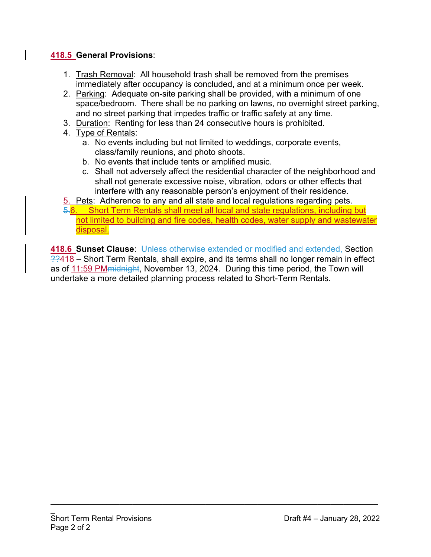## **418.5 General Provisions**:

- 1. Trash Removal: All household trash shall be removed from the premises immediately after occupancy is concluded, and at a minimum once per week.
- 2. Parking: Adequate on-site parking shall be provided, with a minimum of one space/bedroom. There shall be no parking on lawns, no overnight street parking, and no street parking that impedes traffic or traffic safety at any time.
- 3. Duration: Renting for less than 24 consecutive hours is prohibited.
- 4. Type of Rentals:
	- a. No events including but not limited to weddings, corporate events, class/family reunions, and photo shoots.
	- b. No events that include tents or amplified music.
	- c. Shall not adversely affect the residential character of the neighborhood and shall not generate excessive noise, vibration, odors or other effects that interfere with any reasonable person's enjoyment of their residence.

5. Pets: Adherence to any and all state and local regulations regarding pets.

5.6. Short Term Rentals shall meet all local and state regulations, including but not limited to building and fire codes, health codes, water supply and wastewater disposal.

**418.6 Sunset Clause**: Unless otherwise extended or modified and extended, Section  $22418$  – Short Term Rentals, shall expire, and its terms shall no longer remain in effect as of 11:59 PM midnight, November 13, 2024. During this time period, the Town will undertake a more detailed planning process related to Short-Term Rentals.

 $\mathcal{L}_\text{max}$  and  $\mathcal{L}_\text{max}$  and  $\mathcal{L}_\text{max}$  and  $\mathcal{L}_\text{max}$  and  $\mathcal{L}_\text{max}$  and  $\mathcal{L}_\text{max}$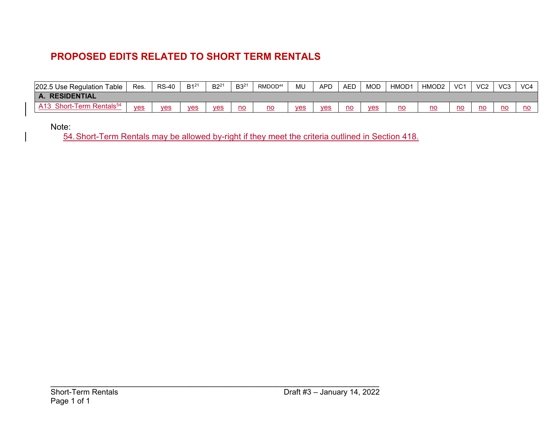## **PROPOSED EDITS RELATED TO SHORT TERM RENTALS**

| 202.5 Use Regulation<br>Table                             | Res. | <b>RS-40</b> | $B1^{21}$  | $B2^{21}$  | $B3^{21}$ | RMDOD <sup>44</sup> | ML  | <b>APD</b> | <b>AED</b> | <b>MOD</b> | HMOD <sup>-</sup> | HMOD2 | VC <sub>1</sub> | VC <sub>2</sub> | VC <sub>3</sub> | VC <sub>4</sub> |
|-----------------------------------------------------------|------|--------------|------------|------------|-----------|---------------------|-----|------------|------------|------------|-------------------|-------|-----------------|-----------------|-----------------|-----------------|
| <b>RESIDENTIAL</b><br>A.                                  |      |              |            |            |           |                     |     |            |            |            |                   |       |                 |                 |                 |                 |
| Short-Term<br>$\overline{1}$ Rentals <sup>54</sup><br>A13 | yes  | ves          | <b>ves</b> | <b>ves</b> | no        | no                  | yes | <b>ves</b> | no         | ves        | $\underline{no}$  | no    | no              | no              | no              | no              |

Note:

54. Short-Term Rentals may be allowed by-right if they meet the criteria outlined in Section 418.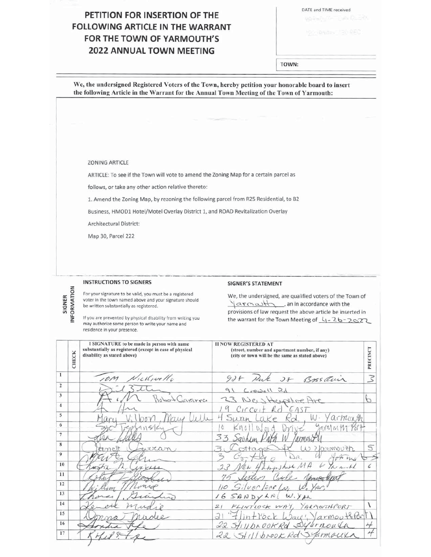## PETITION FOR INSERTION OF THE **FOLLOWING ARTICLE IN THE WARRANT** FOR THE TOWN OF YARMOUTH'S **2022 ANNUAL TOWN MEETING**

DATE and TIME received

TOWN:

We, the undersigned Registered Voters of the Town, hereby petition your honorable board to insert the following Article in the Warrant for the Annual Town Meeting of the Town of Yarmouth:

#### **ZONING ARTICLE**

ARTICLE: To see if the Town will vote to amend the Zoning Map for a certain parcel as

follows, or take any other action relative thereto:

1. Amend the Zoning Map, by rezoning the following parcel from R25 Residential, to B2

Business, HMOD1 Hotel/Motel Overlay District 1, and ROAD Revitalization Overlay

Architectural District:

Map 30, Parcel 222

#### **INSTRUCTIONS TO SIGNERS**

INFORMATION

SIGNER

For your signature to be valid, you must be a registered voter in the town named above and your signature should be written substantially as registered.

If you are prevented by physical disability from writing you may authorize some person to write your name and residence in your presence.

#### **SIGNER'S STATEMENT**

We, the undersigned, are qualified voters of the Town of an in accordance with the provisions of law request the above article be inserted in the warrant for the Town Meeting of 4-26-2022

|    | CHECK | I SIGNATURE to be made in person with name<br>substantially as registered (except in case of physical<br>disability as stated above) | <b>II NOW REGISTERED AT</b><br>(street, number and apartment number, if any)<br>(city or town will be the same as stated above) | PRECINCT               |
|----|-------|--------------------------------------------------------------------------------------------------------------------------------------|---------------------------------------------------------------------------------------------------------------------------------|------------------------|
| 1  |       | restructle                                                                                                                           | 925 Pak 28 Bossauir                                                                                                             | $\overline{\varsigma}$ |
| 2  |       |                                                                                                                                      | Crowell Rd                                                                                                                      |                        |
| 3  |       | Liararra<br>$bcc +$                                                                                                                  | 23 New Herschoe Are                                                                                                             | р                      |
| 4  |       |                                                                                                                                      | $Circu$ <sub>t</sub> $Rd$<br>EAST                                                                                               |                        |
| 5  |       |                                                                                                                                      | W. Yarmonth                                                                                                                     |                        |
| 6  |       | 4152                                                                                                                                 | Jarmmm<br>Ô<br>V <sub>1</sub><br>m <sub>d</sub>                                                                                 |                        |
| 7  |       |                                                                                                                                      | 33<br>armou                                                                                                                     |                        |
| 8  |       | wutan                                                                                                                                | W ?larmouth                                                                                                                     |                        |
| 9  |       |                                                                                                                                      | DR<br>of my                                                                                                                     |                        |
| 10 |       |                                                                                                                                      | w<br>Ru Hampshire MA<br>$\chi$                                                                                                  | $\epsilon$             |
| 11 |       |                                                                                                                                      |                                                                                                                                 |                        |
| 12 |       |                                                                                                                                      | $110$ Silver /EAF $\omega$                                                                                                      |                        |
| 13 |       |                                                                                                                                      | 16 SANDYLNI<br>W. YAR                                                                                                           |                        |
| 14 |       |                                                                                                                                      | FLINTLOCK WAY, YARMOUTHPORT<br>21                                                                                               |                        |
| 15 |       |                                                                                                                                      | "Flintibek Ways, Varmouthfor<br>$\overline{d}$                                                                                  |                        |
| 16 |       |                                                                                                                                      | 22 StillbrookRd Syarnoula                                                                                                       | 4                      |
| 17 |       |                                                                                                                                      | 22 Stillbrook Rd Syarmoux                                                                                                       |                        |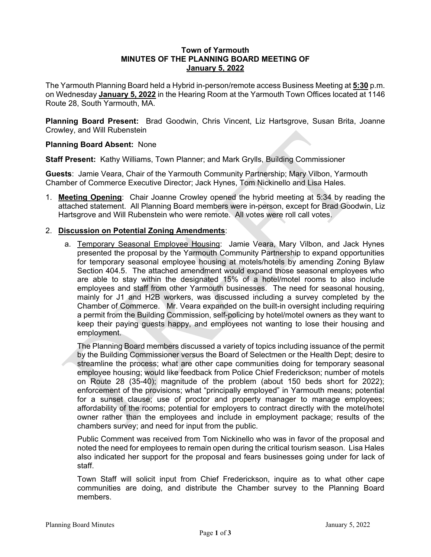#### **Town of Yarmouth MINUTES OF THE PLANNING BOARD MEETING OF January 5, 2022**

The Yarmouth Planning Board held a Hybrid in-person/remote access Business Meeting at **5:30** p.m. on Wednesday **January 5, 2022** in the Hearing Room at the Yarmouth Town Offices located at 1146 Route 28, South Yarmouth, MA.

**Planning Board Present:** Brad Goodwin, Chris Vincent, Liz Hartsgrove, Susan Brita, Joanne Crowley, and Will Rubenstein

## **Planning Board Absent:** None

**Staff Present:** Kathy Williams, Town Planner; and Mark Grylls, Building Commissioner

**Guests**: Jamie Veara, Chair of the Yarmouth Community Partnership; Mary Vilbon, Yarmouth Chamber of Commerce Executive Director; Jack Hynes, Tom Nickinello and Lisa Hales.

1. **Meeting Opening**: Chair Joanne Crowley opened the hybrid meeting at 5:34 by reading the attached statement. All Planning Board members were in-person, except for Brad Goodwin, Liz Hartsgrove and Will Rubenstein who were remote. All votes were roll call votes.

## 2. **Discussion on Potential Zoning Amendments**:

a. Temporary Seasonal Employee Housing: Jamie Veara, Mary Vilbon, and Jack Hynes presented the proposal by the Yarmouth Community Partnership to expand opportunities for temporary seasonal employee housing at motels/hotels by amending Zoning Bylaw Section 404.5. The attached amendment would expand those seasonal employees who are able to stay within the designated 15% of a hotel/motel rooms to also include employees and staff from other Yarmouth businesses. The need for seasonal housing, mainly for J1 and H2B workers, was discussed including a survey completed by the Chamber of Commerce. Mr. Veara expanded on the built-in oversight including requiring a permit from the Building Commission, self-policing by hotel/motel owners as they want to keep their paying guests happy, and employees not wanting to lose their housing and employment.

The Planning Board members discussed a variety of topics including issuance of the permit by the Building Commissioner versus the Board of Selectmen or the Health Dept; desire to streamline the process; what are other cape communities doing for temporary seasonal employee housing; would like feedback from Police Chief Frederickson; number of motels on Route 28 (35-40); magnitude of the problem (about 150 beds short for 2022); enforcement of the provisions; what "principally employed" in Yarmouth means; potential for a sunset clause; use of proctor and property manager to manage employees; affordability of the rooms; potential for employers to contract directly with the motel/hotel owner rather than the employees and include in employment package; results of the chambers survey; and need for input from the public.

Public Comment was received from Tom Nickinello who was in favor of the proposal and noted the need for employees to remain open during the critical tourism season. Lisa Hales also indicated her support for the proposal and fears businesses going under for lack of staff.

Town Staff will solicit input from Chief Frederickson, inquire as to what other cape communities are doing, and distribute the Chamber survey to the Planning Board members.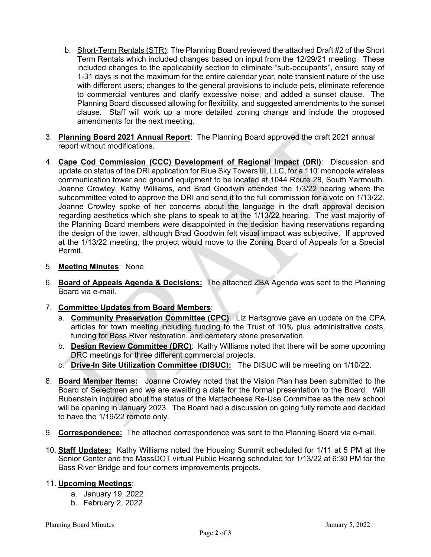- b. Short-Term Rentals (STR): The Planning Board reviewed the attached Draft #2 of the Short Term Rentals which included changes based on input from the 12/29/21 meeting. These included changes to the applicability section to eliminate "sub-occupants", ensure stay of 1-31 days is not the maximum for the entire calendar year, note transient nature of the use with different users; changes to the general provisions to include pets, eliminate reference to commercial ventures and clarify excessive noise; and added a sunset clause. The Planning Board discussed allowing for flexibility, and suggested amendments to the sunset clause. Staff will work up a more detailed zoning change and include the proposed amendments for the next meeting.
- 3. **Planning Board 2021 Annual Report**: The Planning Board approved the draft 2021 annual report without modifications.
- 4. **Cape Cod Commission (CCC) Development of Regional Impact (DRI)**: Discussion and update on status of the DRI application for Blue Sky Towers III, LLC, for a 110' monopole wireless communication tower and ground equipment to be located at 1044 Route 28, South Yarmouth. Joanne Crowley, Kathy Williams, and Brad Goodwin attended the 1/3/22 hearing where the subcommittee voted to approve the DRI and send it to the full commission for a vote on 1/13/22. Joanne Crowley spoke of her concerns about the language in the draft approval decision regarding aesthetics which she plans to speak to at the 1/13/22 hearing. The vast majority of the Planning Board members were disappointed in the decision having reservations regarding the design of the tower, although Brad Goodwin felt visual impact was subjective. If approved at the 1/13/22 meeting, the project would move to the Zoning Board of Appeals for a Special Permit.
- 5. **Meeting Minutes**: None
- 6. **Board of Appeals Agenda & Decisions:** The attached ZBA Agenda was sent to the Planning Board via e-mail.
- 7. **Committee Updates from Board Members**:
	- a. **Community Preservation Committee (CPC)**: Liz Hartsgrove gave an update on the CPA articles for town meeting including funding to the Trust of 10% plus administrative costs, funding for Bass River restoration, and cemetery stone preservation.
	- b. **Design Review Committee (DRC)**: Kathy Williams noted that there will be some upcoming DRC meetings for three different commercial projects.
	- c. **Drive-In Site Utilization Committee (DISUC):** The DISUC will be meeting on 1/10/22.
- 8. **Board Member Items:** Joanne Crowley noted that the Vision Plan has been submitted to the Board of Selectmen and we are awaiting a date for the formal presentation to the Board. Will Rubenstein inquired about the status of the Mattacheese Re-Use Committee as the new school will be opening in January 2023. The Board had a discussion on going fully remote and decided to have the 1/19/22 remote only.
- 9. **Correspondence:** The attached correspondence was sent to the Planning Board via e-mail.
- 10. **Staff Updates:** Kathy Williams noted the Housing Summit scheduled for 1/11 at 5 PM at the Senior Center and the MassDOT virtual Public Hearing scheduled for 1/13/22 at 6:30 PM for the Bass River Bridge and four corners improvements projects.

## 11. **Upcoming Meetings**:

- a. January 19, 2022
- b. February 2, 2022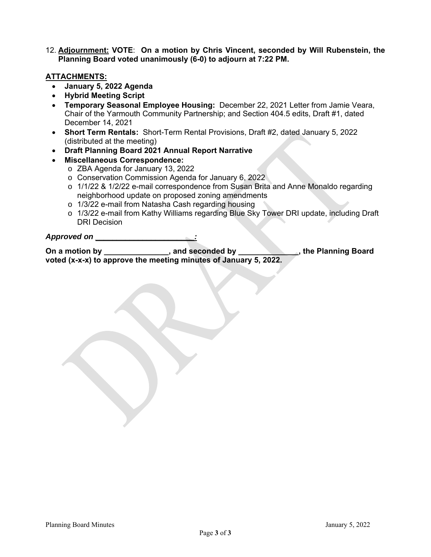12. **Adjournment: VOTE**: **On a motion by Chris Vincent, seconded by Will Rubenstein, the Planning Board voted unanimously (6-0) to adjourn at 7:22 PM.** 

## **ATTACHMENTS:**

- **January 5, 2022 Agenda**
- **Hybrid Meeting Script**
- **Temporary Seasonal Employee Housing:** December 22, 2021 Letter from Jamie Veara, Chair of the Yarmouth Community Partnership; and Section 404.5 edits, Draft #1, dated December 14, 2021
- **Short Term Rentals:** Short-Term Rental Provisions, Draft #2, dated January 5, 2022 (distributed at the meeting)
- **Draft Planning Board 2021 Annual Report Narrative**
- **Miscellaneous Correspondence:** 
	- o ZBA Agenda for January 13, 2022
	- o Conservation Commission Agenda for January 6, 2022
	- o 1/1/22 & 1/2/22 e-mail correspondence from Susan Brita and Anne Monaldo regarding neighborhood update on proposed zoning amendments
	- o 1/3/22 e-mail from Natasha Cash regarding housing
	- o 1/3/22 e-mail from Kathy Williams regarding Blue Sky Tower DRI update, including Draft DRI Decision

#### *Approved on \_\_\_\_\_\_\_\_\_\_\_\_\_\_\_\_\_\_\_\_\_\_\_:*

**On a motion by**  example and seconded by **CONS**, the Planning Board **CONS voted (x-x-x) to approve the meeting minutes of January 5, 2022.**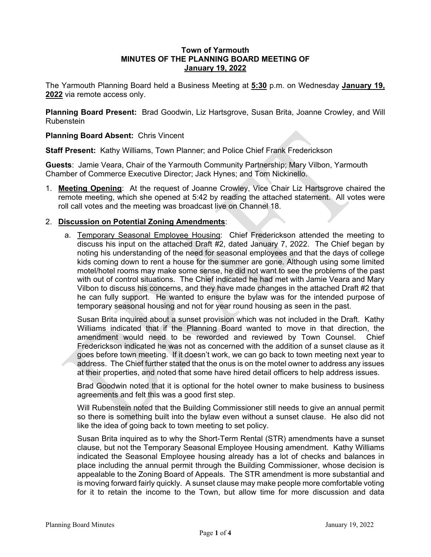#### **Town of Yarmouth MINUTES OF THE PLANNING BOARD MEETING OF January 19, 2022**

The Yarmouth Planning Board held a Business Meeting at **5:30** p.m. on Wednesday **January 19, 2022** via remote access only.

**Planning Board Present:** Brad Goodwin, Liz Hartsgrove, Susan Brita, Joanne Crowley, and Will Rubenstein

## **Planning Board Absent:** Chris Vincent

**Staff Present:** Kathy Williams, Town Planner; and Police Chief Frank Frederickson

**Guests**: Jamie Veara, Chair of the Yarmouth Community Partnership; Mary Vilbon, Yarmouth Chamber of Commerce Executive Director; Jack Hynes; and Tom Nickinello.

1. **Meeting Opening**: At the request of Joanne Crowley, Vice Chair Liz Hartsgrove chaired the remote meeting, which she opened at 5:42 by reading the attached statement. All votes were roll call votes and the meeting was broadcast live on Channel 18.

## 2. **Discussion on Potential Zoning Amendments**:

a. Temporary Seasonal Employee Housing: Chief Frederickson attended the meeting to discuss his input on the attached Draft #2, dated January 7, 2022. The Chief began by noting his understanding of the need for seasonal employees and that the days of college kids coming down to rent a house for the summer are gone. Although using some limited motel/hotel rooms may make some sense, he did not want to see the problems of the past with out of control situations. The Chief indicated he had met with Jamie Veara and Mary Vilbon to discuss his concerns, and they have made changes in the attached Draft #2 that he can fully support. He wanted to ensure the bylaw was for the intended purpose of temporary seasonal housing and not for year round housing as seen in the past.

Susan Brita inquired about a sunset provision which was not included in the Draft. Kathy Williams indicated that if the Planning Board wanted to move in that direction, the amendment would need to be reworded and reviewed by Town Counsel. Chief Frederickson indicated he was not as concerned with the addition of a sunset clause as it goes before town meeting. If it doesn't work, we can go back to town meeting next year to address. The Chief further stated that the onus is on the motel owner to address any issues at their properties, and noted that some have hired detail officers to help address issues.

Brad Goodwin noted that it is optional for the hotel owner to make business to business agreements and felt this was a good first step.

Will Rubenstein noted that the Building Commissioner still needs to give an annual permit so there is something built into the bylaw even without a sunset clause. He also did not like the idea of going back to town meeting to set policy.

Susan Brita inquired as to why the Short-Term Rental (STR) amendments have a sunset clause, but not the Temporary Seasonal Employee Housing amendment. Kathy Williams indicated the Seasonal Employee housing already has a lot of checks and balances in place including the annual permit through the Building Commissioner, whose decision is appealable to the Zoning Board of Appeals. The STR amendment is more substantial and is moving forward fairly quickly. A sunset clause may make people more comfortable voting for it to retain the income to the Town, but allow time for more discussion and data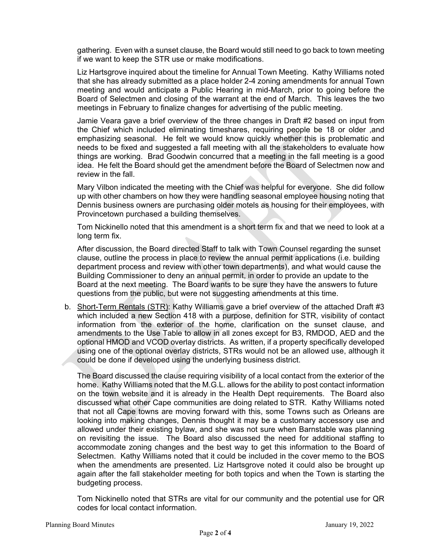gathering. Even with a sunset clause, the Board would still need to go back to town meeting if we want to keep the STR use or make modifications.

Liz Hartsgrove inquired about the timeline for Annual Town Meeting. Kathy Williams noted that she has already submitted as a place holder 2-4 zoning amendments for annual Town meeting and would anticipate a Public Hearing in mid-March, prior to going before the Board of Selectmen and closing of the warrant at the end of March. This leaves the two meetings in February to finalize changes for advertising of the public meeting.

Jamie Veara gave a brief overview of the three changes in Draft #2 based on input from the Chief which included eliminating timeshares, requiring people be 18 or older ,and emphasizing seasonal. He felt we would know quickly whether this is problematic and needs to be fixed and suggested a fall meeting with all the stakeholders to evaluate how things are working. Brad Goodwin concurred that a meeting in the fall meeting is a good idea. He felt the Board should get the amendment before the Board of Selectmen now and review in the fall.

Mary Vilbon indicated the meeting with the Chief was helpful for everyone. She did follow up with other chambers on how they were handling seasonal employee housing noting that Dennis business owners are purchasing older motels as housing for their employees, with Provincetown purchased a building themselves.

Tom Nickinello noted that this amendment is a short term fix and that we need to look at a long term fix.

After discussion, the Board directed Staff to talk with Town Counsel regarding the sunset clause, outline the process in place to review the annual permit applications (i.e. building department process and review with other town departments), and what would cause the Building Commissioner to deny an annual permit, in order to provide an update to the Board at the next meeting. The Board wants to be sure they have the answers to future questions from the public, but were not suggesting amendments at this time.

b. Short-Term Rentals (STR): Kathy Williams gave a brief overview of the attached Draft #3 which included a new Section 418 with a purpose, definition for STR, visibility of contact information from the exterior of the home, clarification on the sunset clause, and amendments to the Use Table to allow in all zones except for B3, RMDOD, AED and the optional HMOD and VCOD overlay districts. As written, if a property specifically developed using one of the optional overlay districts, STRs would not be an allowed use, although it could be done if developed using the underlying business district.

The Board discussed the clause requiring visibility of a local contact from the exterior of the home. Kathy Williams noted that the M.G.L. allows for the ability to post contact information on the town website and it is already in the Health Dept requirements. The Board also discussed what other Cape communities are doing related to STR. Kathy Williams noted that not all Cape towns are moving forward with this, some Towns such as Orleans are looking into making changes, Dennis thought it may be a customary accessory use and allowed under their existing bylaw, and she was not sure when Barnstable was planning on revisiting the issue. The Board also discussed the need for additional staffing to accommodate zoning changes and the best way to get this information to the Board of Selectmen. Kathy Williams noted that it could be included in the cover memo to the BOS when the amendments are presented. Liz Hartsgrove noted it could also be brought up again after the fall stakeholder meeting for both topics and when the Town is starting the budgeting process.

Tom Nickinello noted that STRs are vital for our community and the potential use for QR codes for local contact information.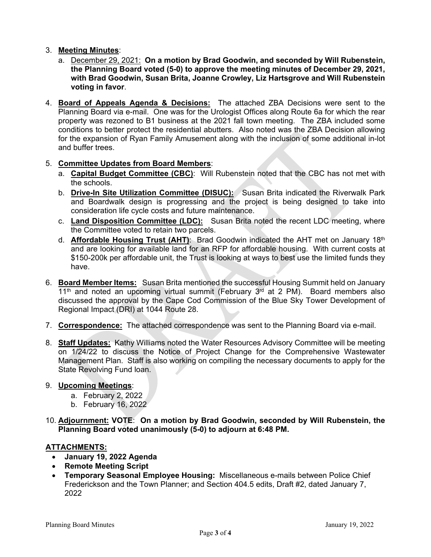## 3. **Meeting Minutes**:

- a. December 29, 2021: **On a motion by Brad Goodwin, and seconded by Will Rubenstein, the Planning Board voted (5-0) to approve the meeting minutes of December 29, 2021, with Brad Goodwin, Susan Brita, Joanne Crowley, Liz Hartsgrove and Will Rubenstein voting in favor**.
- 4. **Board of Appeals Agenda & Decisions:** The attached ZBA Decisions were sent to the Planning Board via e-mail. One was for the Urologist Offices along Route 6a for which the rear property was rezoned to B1 business at the 2021 fall town meeting. The ZBA included some conditions to better protect the residential abutters. Also noted was the ZBA Decision allowing for the expansion of Ryan Family Amusement along with the inclusion of some additional in-lot and buffer trees.

## 5. **Committee Updates from Board Members**:

- a. **Capital Budget Committee (CBC)**: Will Rubenstein noted that the CBC has not met with the schools.
- b. **Drive-In Site Utilization Committee (DISUC):** Susan Brita indicated the Riverwalk Park and Boardwalk design is progressing and the project is being designed to take into consideration life cycle costs and future maintenance.
- c. **Land Disposition Committee (LDC):** Susan Brita noted the recent LDC meeting, where the Committee voted to retain two parcels.
- d. **Affordable Housing Trust (AHT)**: Brad Goodwin indicated the AHT met on January 18th and are looking for available land for an RFP for affordable housing. With current costs at \$150-200k per affordable unit, the Trust is looking at ways to best use the limited funds they have.
- 6. **Board Member Items:** Susan Brita mentioned the successful Housing Summit held on January  $11<sup>th</sup>$  and noted an upcoming virtual summit (February  $3<sup>rd</sup>$  at 2 PM). Board members also discussed the approval by the Cape Cod Commission of the Blue Sky Tower Development of Regional Impact (DRI) at 1044 Route 28.
- 7. **Correspondence:** The attached correspondence was sent to the Planning Board via e-mail.
- 8. **Staff Updates:** Kathy Williams noted the Water Resources Advisory Committee will be meeting on 1/24/22 to discuss the Notice of Project Change for the Comprehensive Wastewater Management Plan. Staff is also working on compiling the necessary documents to apply for the State Revolving Fund loan.

#### 9. **Upcoming Meetings**:

- a. February 2, 2022
- b. February 16, 2022
- 10. **Adjournment: VOTE**: **On a motion by Brad Goodwin, seconded by Will Rubenstein, the Planning Board voted unanimously (5-0) to adjourn at 6:48 PM.**

## **ATTACHMENTS:**

- **January 19, 2022 Agenda**
- **Remote Meeting Script**
- **Temporary Seasonal Employee Housing:** Miscellaneous e-mails between Police Chief Frederickson and the Town Planner; and Section 404.5 edits, Draft #2, dated January 7, 2022